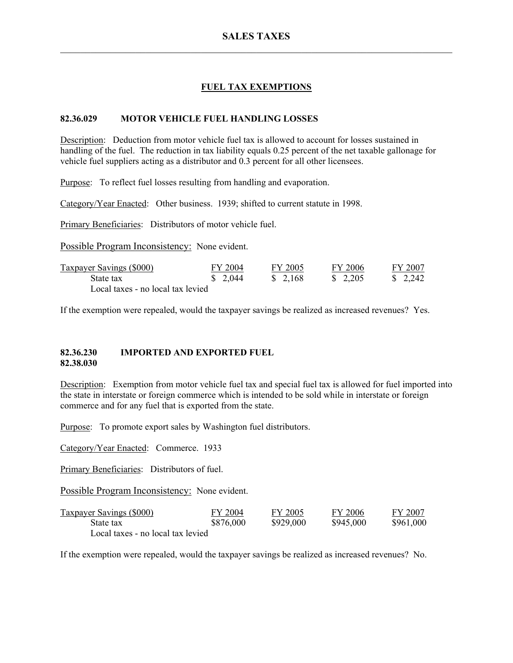# **FUEL TAX EXEMPTIONS**

#### **82.36.029 MOTOR VEHICLE FUEL HANDLING LOSSES**

Description: Deduction from motor vehicle fuel tax is allowed to account for losses sustained in handling of the fuel. The reduction in tax liability equals 0.25 percent of the net taxable gallonage for vehicle fuel suppliers acting as a distributor and 0.3 percent for all other licensees.

Purpose: To reflect fuel losses resulting from handling and evaporation.

Category/Year Enacted: Other business. 1939; shifted to current statute in 1998.

Primary Beneficiaries: Distributors of motor vehicle fuel.

Possible Program Inconsistency: None evident.

| Taxpayer Savings (\$000)          | FY 2004 | FY 2005  | FY 2006  | FY 2007  |
|-----------------------------------|---------|----------|----------|----------|
| State tax                         | \$2,044 | \$ 2.168 | \$ 2.205 | \$ 2.242 |
| Local taxes - no local tax levied |         |          |          |          |

If the exemption were repealed, would the taxpayer savings be realized as increased revenues? Yes.

#### **82.36.230 IMPORTED AND EXPORTED FUEL 82.38.030**

Description: Exemption from motor vehicle fuel tax and special fuel tax is allowed for fuel imported into the state in interstate or foreign commerce which is intended to be sold while in interstate or foreign commerce and for any fuel that is exported from the state.

Purpose: To promote export sales by Washington fuel distributors.

Category/Year Enacted: Commerce. 1933

Primary Beneficiaries: Distributors of fuel.

Possible Program Inconsistency: None evident.

| <b>Taxpayer Savings (\$000)</b>   | FY 2004   | FY 2005   | FY 2006   | FY 2007   |
|-----------------------------------|-----------|-----------|-----------|-----------|
| State tax                         | \$876,000 | \$929,000 | \$945,000 | \$961,000 |
| Local taxes - no local tax levied |           |           |           |           |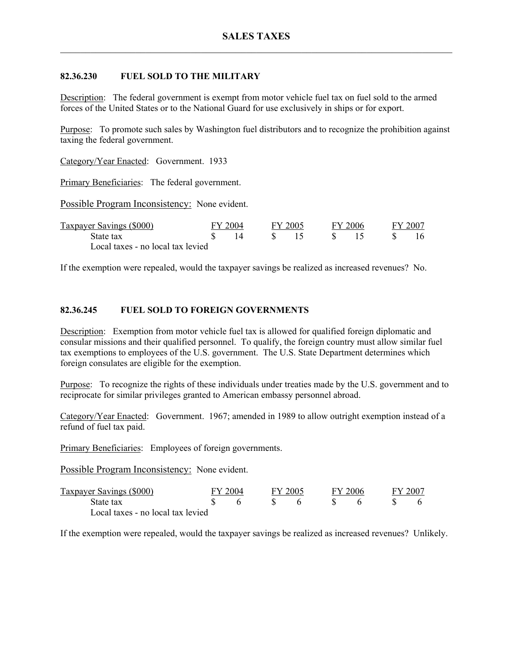## **82.36.230 FUEL SOLD TO THE MILITARY**

Description: The federal government is exempt from motor vehicle fuel tax on fuel sold to the armed forces of the United States or to the National Guard for use exclusively in ships or for export.

Purpose: To promote such sales by Washington fuel distributors and to recognize the prohibition against taxing the federal government.

Category/Year Enacted: Government. 1933

Primary Beneficiaries: The federal government.

Possible Program Inconsistency: None evident.

| Taxpayer Savings (\$000)          | FY 2004 |  | FY 2005 |  | FY 2006 |  | FY 2007 |  |
|-----------------------------------|---------|--|---------|--|---------|--|---------|--|
| State tax                         |         |  |         |  |         |  | 16      |  |
| Local taxes - no local tax levied |         |  |         |  |         |  |         |  |

If the exemption were repealed, would the taxpayer savings be realized as increased revenues? No.

### **82.36.245 FUEL SOLD TO FOREIGN GOVERNMENTS**

Description: Exemption from motor vehicle fuel tax is allowed for qualified foreign diplomatic and consular missions and their qualified personnel. To qualify, the foreign country must allow similar fuel tax exemptions to employees of the U.S. government. The U.S. State Department determines which foreign consulates are eligible for the exemption.

Purpose: To recognize the rights of these individuals under treaties made by the U.S. government and to reciprocate for similar privileges granted to American embassy personnel abroad.

Category/Year Enacted: Government. 1967; amended in 1989 to allow outright exemption instead of a refund of fuel tax paid.

Primary Beneficiaries: Employees of foreign governments.

Possible Program Inconsistency: None evident.

| Taxpayer Savings (\$000)          | FY 2004 |  | FY 2005 |  | FY 2006 |  | FY 2007 |  |
|-----------------------------------|---------|--|---------|--|---------|--|---------|--|
| State tax                         |         |  |         |  |         |  |         |  |
| Local taxes - no local tax levied |         |  |         |  |         |  |         |  |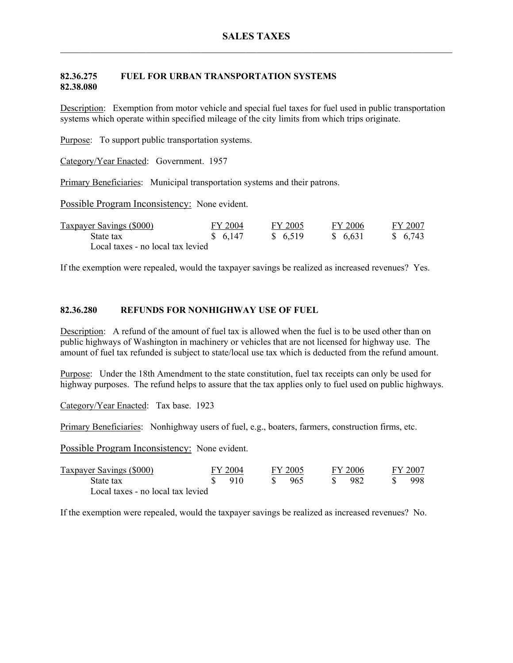## **82.36.275 FUEL FOR URBAN TRANSPORTATION SYSTEMS 82.38.080**

Description: Exemption from motor vehicle and special fuel taxes for fuel used in public transportation systems which operate within specified mileage of the city limits from which trips originate.

Purpose: To support public transportation systems.

Category/Year Enacted: Government. 1957

Primary Beneficiaries: Municipal transportation systems and their patrons.

Possible Program Inconsistency: None evident.

| Taxpayer Savings (\$000)          | FY 2004 | FY 2005 | FY 2006  | FY 2007 |
|-----------------------------------|---------|---------|----------|---------|
| State tax                         | \$6,147 | \$6,519 | \$ 6.631 | \$6,743 |
| Local taxes - no local tax levied |         |         |          |         |

If the exemption were repealed, would the taxpayer savings be realized as increased revenues? Yes.

#### **82.36.280 REFUNDS FOR NONHIGHWAY USE OF FUEL**

Description: A refund of the amount of fuel tax is allowed when the fuel is to be used other than on public highways of Washington in machinery or vehicles that are not licensed for highway use. The amount of fuel tax refunded is subject to state/local use tax which is deducted from the refund amount.

Purpose: Under the 18th Amendment to the state constitution, fuel tax receipts can only be used for highway purposes. The refund helps to assure that the tax applies only to fuel used on public highways.

Category/Year Enacted: Tax base. 1923

Primary Beneficiaries: Nonhighway users of fuel, e.g., boaters, farmers, construction firms, etc.

Possible Program Inconsistency: None evident.

| Taxpayer Savings (\$000)          | FY 2004 |     | FY 2005 |      | FY 2006 |      | FY 2007 |      |
|-----------------------------------|---------|-----|---------|------|---------|------|---------|------|
| State tax                         |         | 910 |         | -965 |         | -982 |         | 998. |
| Local taxes - no local tax levied |         |     |         |      |         |      |         |      |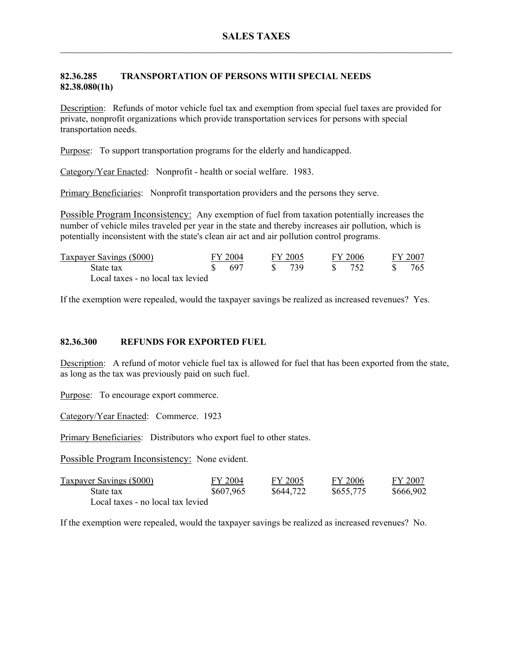## **82.36.285 TRANSPORTATION OF PERSONS WITH SPECIAL NEEDS 82.38.080(1h)**

Description: Refunds of motor vehicle fuel tax and exemption from special fuel taxes are provided for private, nonprofit organizations which provide transportation services for persons with special transportation needs.

Purpose: To support transportation programs for the elderly and handicapped.

Category/Year Enacted: Nonprofit - health or social welfare. 1983.

Primary Beneficiaries: Nonprofit transportation providers and the persons they serve.

Possible Program Inconsistency: Any exemption of fuel from taxation potentially increases the number of vehicle miles traveled per year in the state and thereby increases air pollution, which is potentially inconsistent with the state's clean air act and air pollution control programs.

| Taxpayer Savings (\$000)          | FY 2004 |       | FY 2005 |      | FY 2006      |     | FY 2007 |     |
|-----------------------------------|---------|-------|---------|------|--------------|-----|---------|-----|
| State tax                         |         | - 697 |         | -739 | $\mathbf{S}$ | 752 |         | 765 |
| Local taxes - no local tax levied |         |       |         |      |              |     |         |     |

If the exemption were repealed, would the taxpayer savings be realized as increased revenues? Yes.

### **82.36.300 REFUNDS FOR EXPORTED FUEL**

Description: A refund of motor vehicle fuel tax is allowed for fuel that has been exported from the state, as long as the tax was previously paid on such fuel.

Purpose: To encourage export commerce.

Category/Year Enacted: Commerce. 1923

Primary Beneficiaries: Distributors who export fuel to other states.

Possible Program Inconsistency: None evident.

| <b>Taxpayer Savings (\$000)</b>   | FY 2004   | FY 2005   | FY 2006   | FY 2007   |
|-----------------------------------|-----------|-----------|-----------|-----------|
| State tax                         | \$607,965 | \$644,722 | \$655,775 | \$666,902 |
| Local taxes - no local tax levied |           |           |           |           |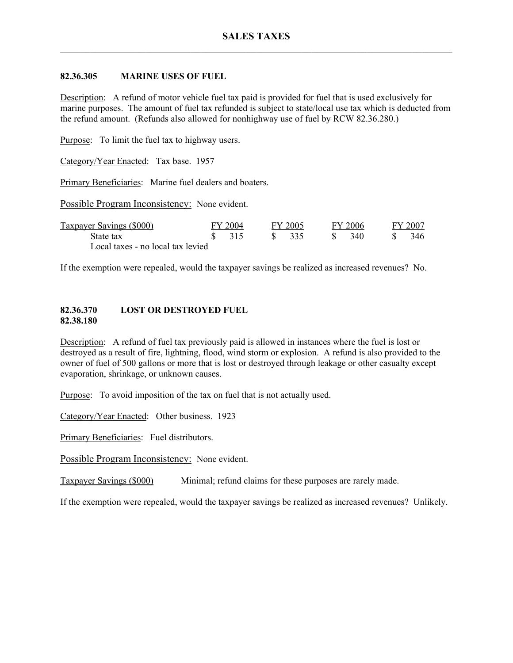### **82.36.305 MARINE USES OF FUEL**

Description: A refund of motor vehicle fuel tax paid is provided for fuel that is used exclusively for marine purposes. The amount of fuel tax refunded is subject to state/local use tax which is deducted from the refund amount. (Refunds also allowed for nonhighway use of fuel by RCW 82.36.280.)

Purpose: To limit the fuel tax to highway users.

Category/Year Enacted: Tax base. 1957

Primary Beneficiaries: Marine fuel dealers and boaters.

Possible Program Inconsistency: None evident.

| Taxpayer Savings (\$000)          | FY 2004 |                   | FY 2005 |        | FY 2006 |     | FY 2007 |      |
|-----------------------------------|---------|-------------------|---------|--------|---------|-----|---------|------|
| State tax                         |         | $\frac{1}{2}$ 315 |         | \$ 335 |         | 340 |         | 346. |
| Local taxes - no local tax levied |         |                   |         |        |         |     |         |      |

If the exemption were repealed, would the taxpayer savings be realized as increased revenues? No.

#### **82.36.370 LOST OR DESTROYED FUEL 82.38.180**

Description: A refund of fuel tax previously paid is allowed in instances where the fuel is lost or destroyed as a result of fire, lightning, flood, wind storm or explosion. A refund is also provided to the owner of fuel of 500 gallons or more that is lost or destroyed through leakage or other casualty except evaporation, shrinkage, or unknown causes.

Purpose: To avoid imposition of the tax on fuel that is not actually used.

Category/Year Enacted: Other business. 1923

Primary Beneficiaries: Fuel distributors.

Possible Program Inconsistency: None evident.

Taxpayer Savings (\$000) Minimal; refund claims for these purposes are rarely made.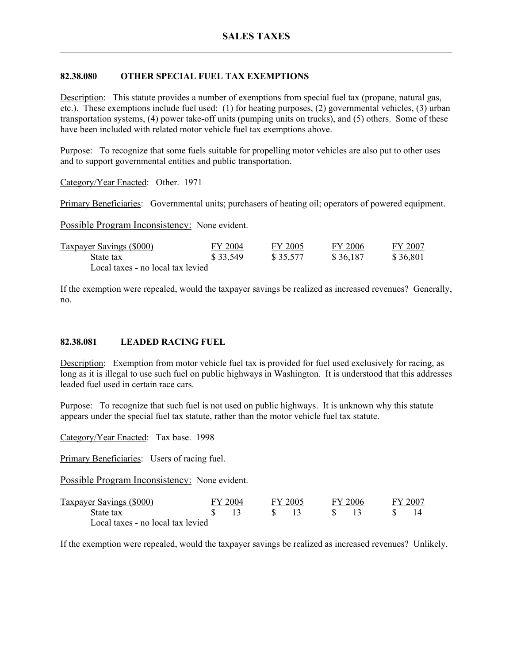## **82.38.080 OTHER SPECIAL FUEL TAX EXEMPTIONS**

Description: This statute provides a number of exemptions from special fuel tax (propane, natural gas, etc.). These exemptions include fuel used: (1) for heating purposes, (2) governmental vehicles, (3) urban transportation systems, (4) power take-off units (pumping units on trucks), and (5) others. Some of these have been included with related motor vehicle fuel tax exemptions above.

Purpose: To recognize that some fuels suitable for propelling motor vehicles are also put to other uses and to support governmental entities and public transportation.

Category/Year Enacted: Other. 1971

Primary Beneficiaries: Governmental units; purchasers of heating oil; operators of powered equipment.

Possible Program Inconsistency: None evident.

| <b>Taxpayer Savings (\$000)</b>   | FY 2004  | FY 2005  | FY 2006  | FY 2007  |
|-----------------------------------|----------|----------|----------|----------|
| State tax                         | \$33,549 | \$35,577 | \$36,187 | \$36,801 |
| Local taxes - no local tax levied |          |          |          |          |

If the exemption were repealed, would the taxpayer savings be realized as increased revenues? Generally, no.

### **82.38.081 LEADED RACING FUEL**

Description: Exemption from motor vehicle fuel tax is provided for fuel used exclusively for racing, as long as it is illegal to use such fuel on public highways in Washington. It is understood that this addresses leaded fuel used in certain race cars.

Purpose: To recognize that such fuel is not used on public highways. It is unknown why this statute appears under the special fuel tax statute, rather than the motor vehicle fuel tax statute.

Category/Year Enacted: Tax base. 1998

Primary Beneficiaries: Users of racing fuel.

Possible Program Inconsistency: None evident.

| Taxpayer Savings (\$000)          | FY 2004 |  | FY 2005 |      | FY 2006 |  | FY 2007 |  |
|-----------------------------------|---------|--|---------|------|---------|--|---------|--|
| State tax                         |         |  |         | S 13 |         |  |         |  |
| Local taxes - no local tax levied |         |  |         |      |         |  |         |  |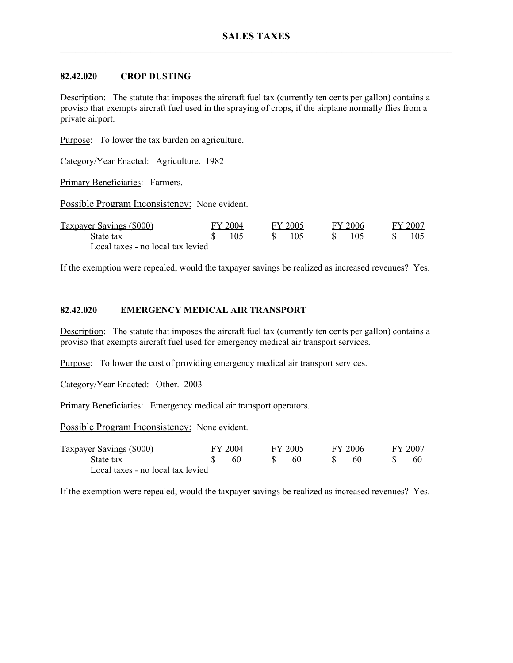## **82.42.020 CROP DUSTING**

Description: The statute that imposes the aircraft fuel tax (currently ten cents per gallon) contains a proviso that exempts aircraft fuel used in the spraying of crops, if the airplane normally flies from a private airport.

Purpose: To lower the tax burden on agriculture.

Category/Year Enacted: Agriculture. 1982

Primary Beneficiaries: Farmers.

Possible Program Inconsistency: None evident.

| Taxpayer Savings (\$000)          | FY 2004 |       | FY 2005 |  | FY 2006 |  | FY 2007 |  |
|-----------------------------------|---------|-------|---------|--|---------|--|---------|--|
| State tax                         |         | - 105 | - 105   |  | - 105   |  |         |  |
| Local taxes - no local tax levied |         |       |         |  |         |  |         |  |

If the exemption were repealed, would the taxpayer savings be realized as increased revenues? Yes.

# **82.42.020 EMERGENCY MEDICAL AIR TRANSPORT**

Description: The statute that imposes the aircraft fuel tax (currently ten cents per gallon) contains a proviso that exempts aircraft fuel used for emergency medical air transport services.

Purpose: To lower the cost of providing emergency medical air transport services.

Category/Year Enacted: Other. 2003

Primary Beneficiaries: Emergency medical air transport operators.

Possible Program Inconsistency: None evident.

| <b>Taxpayer Savings (\$000)</b>   | FY 2004 |  | FY 2005 |  | FY 2006 |  | FY 2007 |
|-----------------------------------|---------|--|---------|--|---------|--|---------|
| State tax                         | 60      |  | 60      |  |         |  | 60      |
| Local taxes - no local tax levied |         |  |         |  |         |  |         |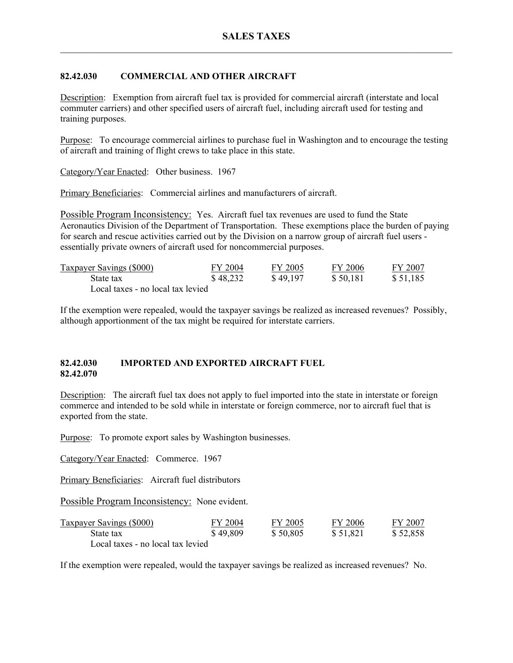# **82.42.030 COMMERCIAL AND OTHER AIRCRAFT**

Description: Exemption from aircraft fuel tax is provided for commercial aircraft (interstate and local commuter carriers) and other specified users of aircraft fuel, including aircraft used for testing and training purposes.

Purpose: To encourage commercial airlines to purchase fuel in Washington and to encourage the testing of aircraft and training of flight crews to take place in this state.

Category/Year Enacted: Other business. 1967

Primary Beneficiaries: Commercial airlines and manufacturers of aircraft.

Possible Program Inconsistency: Yes. Aircraft fuel tax revenues are used to fund the State Aeronautics Division of the Department of Transportation. These exemptions place the burden of paying for search and rescue activities carried out by the Division on a narrow group of aircraft fuel users essentially private owners of aircraft used for noncommercial purposes.

| <b>Taxpayer Savings (\$000)</b>   | FY 2004  | FY 2005  | FY 2006  | FY 2007  |
|-----------------------------------|----------|----------|----------|----------|
| State tax                         | \$48,232 | \$49,197 | \$50,181 | \$51,185 |
| Local taxes - no local tax levied |          |          |          |          |

If the exemption were repealed, would the taxpayer savings be realized as increased revenues? Possibly, although apportionment of the tax might be required for interstate carriers.

### **82.42.030 IMPORTED AND EXPORTED AIRCRAFT FUEL 82.42.070**

Description: The aircraft fuel tax does not apply to fuel imported into the state in interstate or foreign commerce and intended to be sold while in interstate or foreign commerce, nor to aircraft fuel that is exported from the state.

Purpose: To promote export sales by Washington businesses.

Category/Year Enacted: Commerce. 1967

Primary Beneficiaries: Aircraft fuel distributors

Possible Program Inconsistency: None evident.

| <b>Taxpayer Savings (\$000)</b>   | FY 2004  | FY 2005  | FY 2006  | FY 2007  |
|-----------------------------------|----------|----------|----------|----------|
| State tax                         | \$49,809 | \$50,805 | \$51,821 | \$52,858 |
| Local taxes - no local tax levied |          |          |          |          |